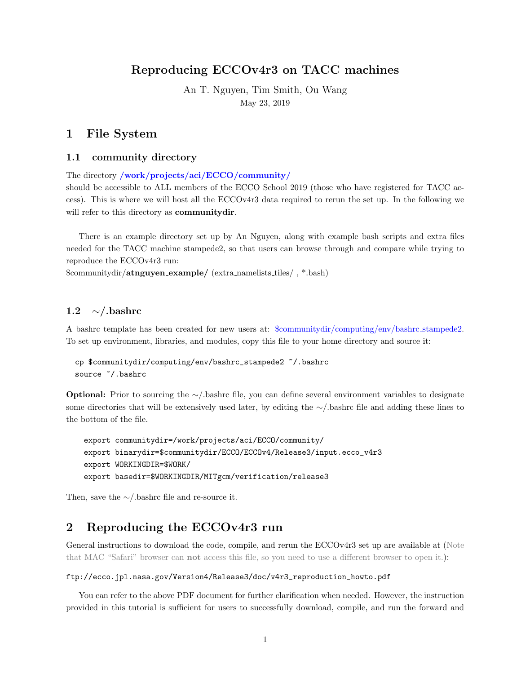# Reproducing ECCOv4r3 on TACC machines

An T. Nguyen, Tim Smith, Ou Wang May 23, 2019

## 1 File System

#### 1.1 community directory

The directory /work/projects/aci/ECCO/community/

should be accessible to ALL members of the ECCO School 2019 (those who have registered for TACC access). This is where we will host all the ECCOv4r3 data required to rerun the set up. In the following we will refer to this directory as **communitydir**.

There is an example directory set up by An Nguyen, along with example bash scripts and extra files needed for the TACC machine stampede2, so that users can browse through and compare while trying to reproduce the ECCOv4r3 run:

\$communitydir/atnguyen example/ (extra namelists tiles/ , \*.bash)

## 1.2 ∼/.bashrc

A bashrc template has been created for new users at: \$communitydir/computing/env/bashrc stampede2. To set up environment, libraries, and modules, copy this file to your home directory and source it:

```
cp $communitydir/computing/env/bashrc_stampede2 ~/.bashrc
source ~/.bashrc
```
Optional: Prior to sourcing the ∼/.bashrc file, you can define several environment variables to designate some directories that will be extensively used later, by editing the ∼/.bashrc file and adding these lines to the bottom of the file.

```
export communitydir=/work/projects/aci/ECCO/community/
export binarydir=$communitydir/ECCO/ECCOv4/Release3/input.ecco_v4r3
export WORKINGDIR=$WORK/
export basedir=$WORKINGDIR/MITgcm/verification/release3
```
Then, save the ∼/.bashrc file and re-source it.

# 2 Reproducing the ECCOv4r3 run

General instructions to download the code, compile, and rerun the ECCOv4r3 set up are available at (Note that MAC "Safari" browser can not access this file, so you need to use a different browser to open it.):

#### ftp://ecco.jpl.nasa.gov/Version4/Release3/doc/v4r3\_reproduction\_howto.pdf

You can refer to the above PDF document for further clarification when needed. However, the instruction provided in this tutorial is sufficient for users to successfully download, compile, and run the forward and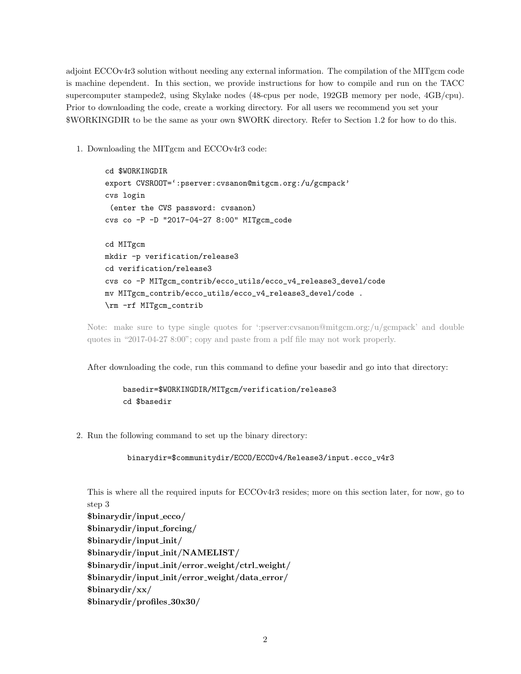adjoint ECCOv4r3 solution without needing any external information. The compilation of the MITgcm code is machine dependent. In this section, we provide instructions for how to compile and run on the TACC supercomputer stampede2, using Skylake nodes (48-cpus per node, 192GB memory per node, 4GB/cpu). Prior to downloading the code, create a working directory. For all users we recommend you set your \$WORKINGDIR to be the same as your own \$WORK directory. Refer to Section 1.2 for how to do this.

1. Downloading the MITgcm and ECCOv4r3 code:

cd \$WORKINGDIR export CVSROOT=':pserver:cvsanon@mitgcm.org:/u/gcmpack' cvs login (enter the CVS password: cvsanon) cvs co -P -D "2017-04-27 8:00" MITgcm\_code cd MITgcm mkdir -p verification/release3 cd verification/release3 cvs co -P MITgcm\_contrib/ecco\_utils/ecco\_v4\_release3\_devel/code mv MITgcm\_contrib/ecco\_utils/ecco\_v4\_release3\_devel/code . \rm -rf MITgcm\_contrib

Note: make sure to type single quotes for ':pserver:cvsanon@mitgcm.org:/u/gcmpack' and double quotes in "2017-04-27 8:00"; copy and paste from a pdf file may not work properly.

After downloading the code, run this command to define your basedir and go into that directory:

```
basedir=$WORKINGDIR/MITgcm/verification/release3
cd $basedir
```
2. Run the following command to set up the binary directory:

```
binarydir=$communitydir/ECCO/ECCOv4/Release3/input.ecco_v4r3
```
This is where all the required inputs for ECCOv4r3 resides; more on this section later, for now, go to step 3 \$binarydir/input ecco/ \$binarydir/input forcing/ \$binarydir/input init/ \$binarydir/input init/NAMELIST/ \$binarydir/input init/error weight/ctrl weight/ \$binarydir/input init/error weight/data error/ \$binarydir/xx/ \$binarydir/profiles 30x30/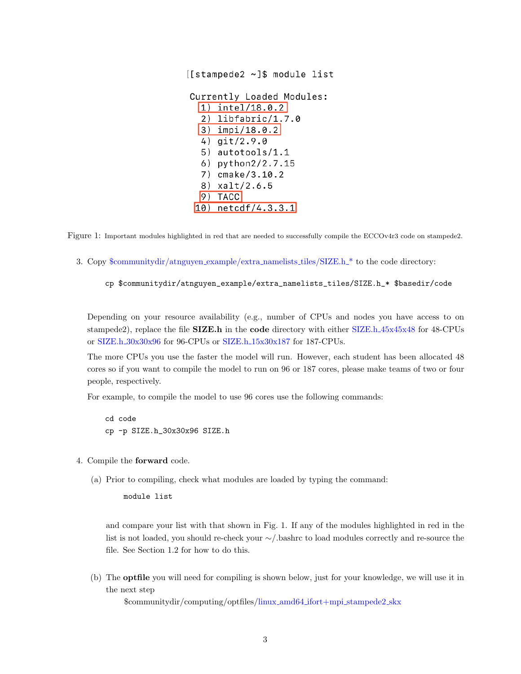|    | [[stampede2 ~]\$ module list |  |
|----|------------------------------|--|
|    | Currently Loaded Modules:    |  |
|    | $1)$ intel/18.0.2            |  |
|    | $2)$ libfabric/1.7.0         |  |
|    | $ 3)$ impi/18.0.2            |  |
|    | 4) git/2.9.0                 |  |
|    | 5) autotools/1.1             |  |
|    | 6) python2/2.7.15            |  |
|    | 7) cmake/3.10.2              |  |
| 8) | xalt/2.6.5                   |  |
| 9) | <b>TACC</b>                  |  |
|    | netcdf/4.3.3.1               |  |

Figure 1: Important modules highlighted in red that are needed to successfully compile the ECCOv4r3 code on stampede2.

3. Copy \$communitydir/atnguyen example/extra namelists tiles/SIZE.h \* to the code directory:

```
cp $communitydir/atnguyen_example/extra_namelists_tiles/SIZE.h_* $basedir/code
```
Depending on your resource availability (e.g., number of CPUs and nodes you have access to on stampede2), replace the file **SIZE.h** in the **code** directory with either SIZE.h.45x45x48 for 48-CPUs or SIZE.h 30x30x96 for 96-CPUs or SIZE.h 15x30x187 for 187-CPUs.

The more CPUs you use the faster the model will run. However, each student has been allocated 48 cores so if you want to compile the model to run on 96 or 187 cores, please make teams of two or four people, respectively.

For example, to compile the model to use 96 cores use the following commands:

cd code cp -p SIZE.h\_30x30x96 SIZE.h

- 4. Compile the forward code.
	- (a) Prior to compiling, check what modules are loaded by typing the command:

module list

and compare your list with that shown in Fig. 1. If any of the modules highlighted in red in the list is not loaded, you should re-check your ∼/.bashrc to load modules correctly and re-source the file. See Section 1.2 for how to do this.

(b) The optfile you will need for compiling is shown below, just for your knowledge, we will use it in the next step

\$communitydir/computing/optfiles/linux amd64 ifort+mpi stampede2 skx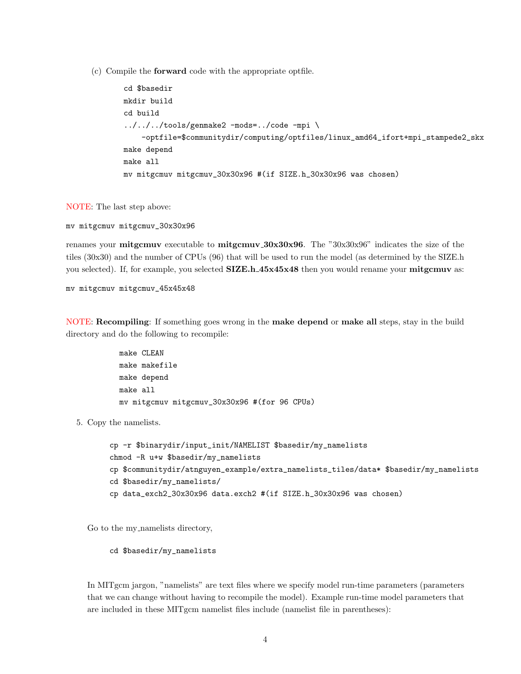(c) Compile the forward code with the appropriate optfile.

```
cd $basedir
mkdir build
cd build
../../../tools/genmake2 -mods=../code -mpi \
    -optfile=$communitydir/computing/optfiles/linux_amd64_ifort+mpi_stampede2_skx
make depend
make all
mv mitgcmuv mitgcmuv_30x30x96 #(if SIZE.h_30x30x96 was chosen)
```
NOTE: The last step above:

```
mv mitgcmuv mitgcmuv_30x30x96
```
renames your **mitgcmuv** executable to **mitgcmuv** 30x30x96. The "30x30x96" indicates the size of the tiles (30x30) and the number of CPUs (96) that will be used to run the model (as determined by the SIZE.h you selected). If, for example, you selected **SIZE.h\_45x45x48** then you would rename your **mitgcmuv** as:

mv mitgcmuv mitgcmuv\_45x45x48

NOTE: Recompiling: If something goes wrong in the make depend or make all steps, stay in the build directory and do the following to recompile:

```
make CLEAN
make makefile
make depend
make all
mv mitgcmuv mitgcmuv_30x30x96 #(for 96 CPUs)
```
5. Copy the namelists.

```
cp -r $binarydir/input_init/NAMELIST $basedir/my_namelists
chmod -R u+w $basedir/my_namelists
cp $communitydir/atnguyen_example/extra_namelists_tiles/data* $basedir/my_namelists
cd $basedir/my_namelists/
cp data_exch2_30x30x96 data.exch2 #(if SIZE.h_30x30x96 was chosen)
```
Go to the my namelists directory,

cd \$basedir/my\_namelists

In MITgcm jargon, "namelists" are text files where we specify model run-time parameters (parameters that we can change without having to recompile the model). Example run-time model parameters that are included in these MITgcm namelist files include (namelist file in parentheses):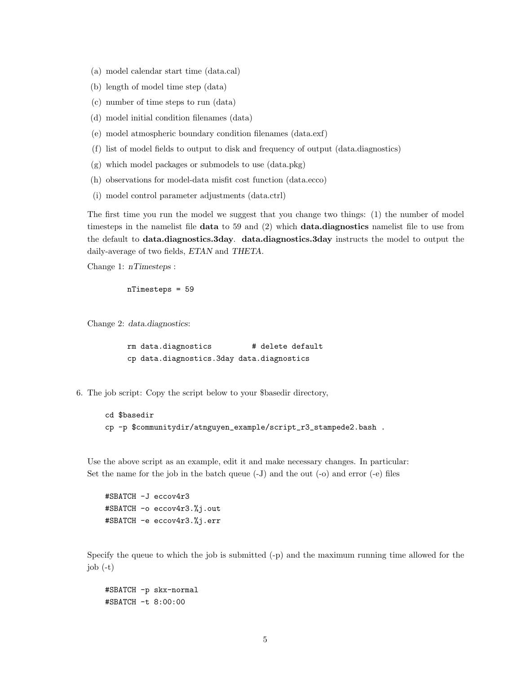- (a) model calendar start time (data.cal)
- (b) length of model time step (data)
- (c) number of time steps to run (data)
- (d) model initial condition filenames (data)
- (e) model atmospheric boundary condition filenames (data.exf)
- (f) list of model fields to output to disk and frequency of output (data.diagnostics)
- (g) which model packages or submodels to use (data.pkg)
- (h) observations for model-data misfit cost function (data.ecco)
- (i) model control parameter adjustments (data.ctrl)

The first time you run the model we suggest that you change two things: (1) the number of model timesteps in the namelist file data to 59 and (2) which data.diagnostics namelist file to use from the default to data.diagnostics.3day. data.diagnostics.3day instructs the model to output the daily-average of two fields, ETAN and THETA.

Change 1: nTimesteps :

```
nTimesteps = 59
```
Change 2: data.diagnostics:

rm data.diagnostics # delete default cp data.diagnostics.3day data.diagnostics

6. The job script: Copy the script below to your \$basedir directory,

```
cd $basedir
cp -p $communitydir/atnguyen_example/script_r3_stampede2.bash .
```
Use the above script as an example, edit it and make necessary changes. In particular: Set the name for the job in the batch queue (-J) and the out (-o) and error (-e) files

#SBATCH -J eccov4r3 #SBATCH -o eccov4r3.%j.out #SBATCH -e eccov4r3.%j.err

Specify the queue to which the job is submitted (-p) and the maximum running time allowed for the  $job (-t)$ 

#SBATCH -p skx-normal #SBATCH -t 8:00:00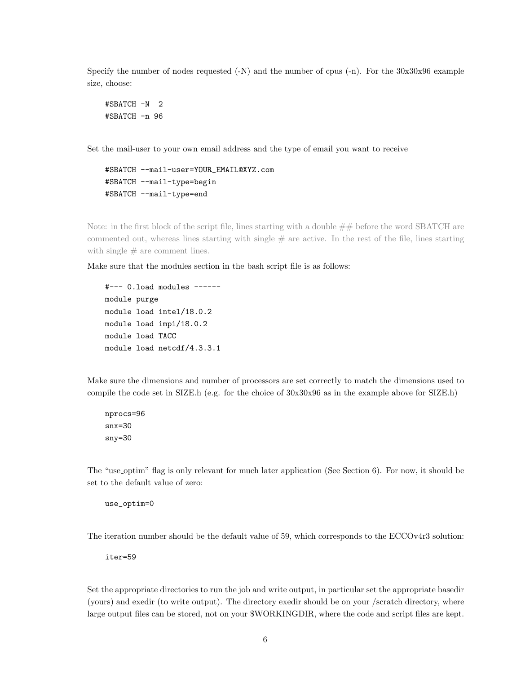Specify the number of nodes requested (-N) and the number of cpus (-n). For the 30x30x96 example size, choose:

```
#SBATCH -N 2
#SBATCH -n 96
```
Set the mail-user to your own email address and the type of email you want to receive

```
#SBATCH --mail-user=YOUR_EMAIL@XYZ.com
#SBATCH --mail-type=begin
#SBATCH --mail-type=end
```
Note: in the first block of the script file, lines starting with a double  $\# \#$  before the word SBATCH are commented out, whereas lines starting with single  $#$  are active. In the rest of the file, lines starting with single  $#$  are comment lines.

Make sure that the modules section in the bash script file is as follows:

```
#--- 0.load modules ------
module purge
module load intel/18.0.2
module load impi/18.0.2
module load TACC
module load netcdf/4.3.3.1
```
Make sure the dimensions and number of processors are set correctly to match the dimensions used to compile the code set in SIZE.h (e.g. for the choice of 30x30x96 as in the example above for SIZE.h)

```
nprocs=96
snx=30
sny=30
```
The "use optim" flag is only relevant for much later application (See Section 6). For now, it should be set to the default value of zero:

use\_optim=0

The iteration number should be the default value of 59, which corresponds to the ECCOv4r3 solution:

iter=59

Set the appropriate directories to run the job and write output, in particular set the appropriate basedir (yours) and exedir (to write output). The directory exedir should be on your /scratch directory, where large output files can be stored, not on your \$WORKINGDIR, where the code and script files are kept.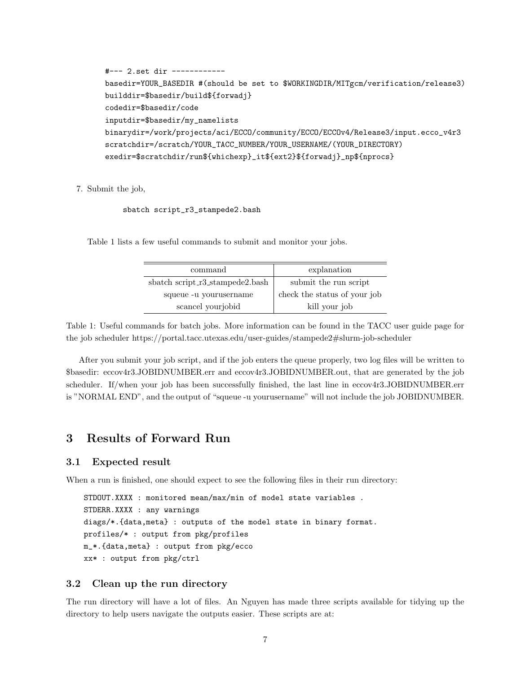```
#--- 2.set dir ------------
basedir=YOUR_BASEDIR #(should be set to $WORKINGDIR/MITgcm/verification/release3)
builddir=$basedir/build${forwadj}
codedir=$basedir/code
inputdir=$basedir/my_namelists
binarydir=/work/projects/aci/ECCO/community/ECCO/ECCOv4/Release3/input.ecco_v4r3
scratchdir=/scratch/YOUR_TACC_NUMBER/YOUR_USERNAME/(YOUR_DIRECTORY)
exedir=$scratchdir/run${whichexp}_it${ext2}${forwadj}_np${nprocs}
```
#### 7. Submit the job,

#### sbatch script\_r3\_stampede2.bash

Table 1 lists a few useful commands to submit and monitor your jobs.

| command                         | explanation                  |  |
|---------------------------------|------------------------------|--|
| sbatch script_r3_stampede2.bash | submit the run script        |  |
| squeue -u yourusername          | check the status of your job |  |
| scancel yourjobid               | kill your job                |  |

Table 1: Useful commands for batch jobs. More information can be found in the TACC user guide page for the job scheduler https://portal.tacc.utexas.edu/user-guides/stampede2#slurm-job-scheduler

After you submit your job script, and if the job enters the queue properly, two log files will be written to \$basedir: eccov4r3.JOBIDNUMBER.err and eccov4r3.JOBIDNUMBER.out, that are generated by the job scheduler. If/when your job has been successfully finished, the last line in eccov4r3.JOBIDNUMBER.err is "NORMAL END", and the output of "squeue -u yourusername" will not include the job JOBIDNUMBER.

# 3 Results of Forward Run

#### 3.1 Expected result

When a run is finished, one should expect to see the following files in their run directory:

STDOUT.XXXX : monitored mean/max/min of model state variables . STDERR.XXXX : any warnings diags/\*.{data,meta} : outputs of the model state in binary format. profiles/\* : output from pkg/profiles m\_\*.{data,meta} : output from pkg/ecco xx\* : output from pkg/ctrl

#### 3.2 Clean up the run directory

The run directory will have a lot of files. An Nguyen has made three scripts available for tidying up the directory to help users navigate the outputs easier. These scripts are at: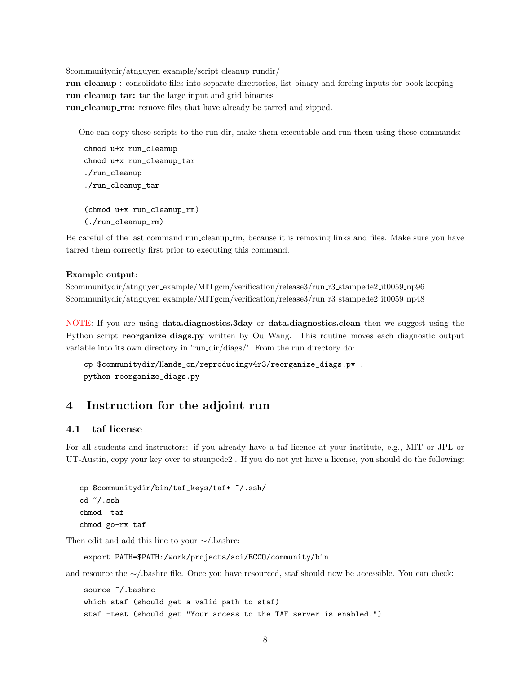\$communitydir/atnguyen example/script cleanup rundir/

run cleanup : consolidate files into separate directories, list binary and forcing inputs for book-keeping run cleanup tar: tar the large input and grid binaries

run\_cleanup\_rm: remove files that have already be tarred and zipped.

One can copy these scripts to the run dir, make them executable and run them using these commands:

```
chmod u+x run_cleanup
chmod u+x run_cleanup_tar
./run_cleanup
./run_cleanup_tar
(chmod u+x run_cleanup_rm)
(./run_cleanup_rm)
```
Be careful of the last command run cleanup rm, because it is removing links and files. Make sure you have tarred them correctly first prior to executing this command.

#### Example output:

```
$communitydir/atnguyen example/MITgcm/verification/release3/run r3 stampede2 it0059 np96
$communitydir/atnguyen example/MITgcm/verification/release3/run r3 stampede2 it0059 np48
```
NOTE: If you are using data.diagnostics.3day or data.diagnostics.clean then we suggest using the Python script **reorganize\_diags.py** written by Ou Wang. This routine moves each diagnostic output variable into its own directory in 'run dir/diags/'. From the run directory do:

```
cp $communitydir/Hands_on/reproducingv4r3/reorganize_diags.py .
python reorganize_diags.py
```
# 4 Instruction for the adjoint run

### 4.1 taf license

For all students and instructors: if you already have a taf licence at your institute, e.g., MIT or JPL or UT-Austin, copy your key over to stampede2 . If you do not yet have a license, you should do the following:

```
cp $communitydir/bin/taf_keys/taf* ~/.ssh/
cd ~/.ssh
chmod taf
chmod go-rx taf
```
Then edit and add this line to your ∼/.bashrc:

export PATH=\$PATH:/work/projects/aci/ECCO/community/bin

and resource the ∼/.bashrc file. Once you have resourced, staf should now be accessible. You can check:

```
source \tilde{ }/.bashrc
which staf (should get a valid path to staf)
staf -test (should get "Your access to the TAF server is enabled.")
```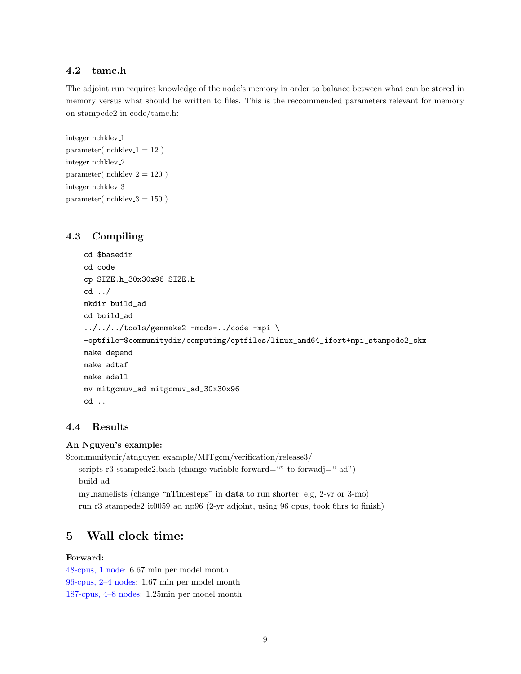## 4.2 tamc.h

The adjoint run requires knowledge of the node's memory in order to balance between what can be stored in memory versus what should be written to files. This is the reccommended parameters relevant for memory on stampede2 in code/tamc.h:

```
integer nchklev 1
parameter(nchklev_1 = 12)
integer nchklev 2
parameter( nchklev 2 = 120 )
integer nchklev 3
parameter(nchklev_3 = 150)
```
## 4.3 Compiling

```
cd $basedir
cd code
cp SIZE.h_30x30x96 SIZE.h
cd ../
mkdir build_ad
cd build_ad
../../../tools/genmake2 -mods=../code -mpi \
-optfile=$communitydir/computing/optfiles/linux_amd64_ifort+mpi_stampede2_skx
make depend
make adtaf
make adall
mv mitgcmuv_ad mitgcmuv_ad_30x30x96
cd ..
```
## 4.4 Results

## An Nguyen's example:

```
$communitydir/atnguyen example/MITgcm/verification/release3/
   scripts r3-stampede2.bash (change variable forward="" to forwadj="-ad")
   build ad
   my namelists (change "nTimesteps" in data to run shorter, e.g, 2-yr or 3-mo)
   run r3 stampede2 it0059 ad np96 (2-yr adjoint, using 96 cpus, took 6hrs to finish)
```
# 5 Wall clock time:

## Forward:

48-cpus, 1 node: 6.67 min per model month 96-cpus, 2–4 nodes: 1.67 min per model month 187-cpus, 4–8 nodes: 1.25min per model month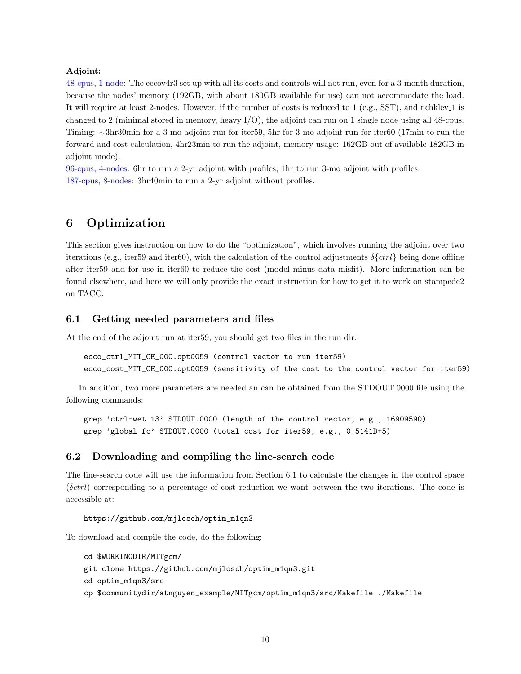#### Adjoint:

48-cpus, 1-node: The eccov4r3 set up with all its costs and controls will not run, even for a 3-month duration, because the nodes' memory (192GB, with about 180GB available for use) can not accommodate the load. It will require at least 2-nodes. However, if the number of costs is reduced to 1 (e.g., SST), and nchklev 1 is changed to 2 (minimal stored in memory, heavy I/O), the adjoint can run on 1 single node using all 48-cpus. Timing: ∼3hr30min for a 3-mo adjoint run for iter59, 5hr for 3-mo adjoint run for iter60 (17min to run the forward and cost calculation, 4hr23min to run the adjoint, memory usage: 162GB out of available 182GB in adjoint mode).

96-cpus, 4-nodes: 6hr to run a 2-yr adjoint with profiles; 1hr to run 3-mo adjoint with profiles. 187-cpus, 8-nodes: 3hr40min to run a 2-yr adjoint without profiles.

# 6 Optimization

This section gives instruction on how to do the "optimization", which involves running the adjoint over two iterations (e.g., iter59 and iter60), with the calculation of the control adjustments  $\delta\{ctrl\}$  being done offline after iter59 and for use in iter60 to reduce the cost (model minus data misfit). More information can be found elsewhere, and here we will only provide the exact instruction for how to get it to work on stampede2 on TACC.

## 6.1 Getting needed parameters and files

At the end of the adjoint run at iter59, you should get two files in the run dir:

```
ecco_ctrl_MIT_CE_000.opt0059 (control vector to run iter59)
ecco_cost_MIT_CE_000.opt0059 (sensitivity of the cost to the control vector for iter59)
```
In addition, two more parameters are needed an can be obtained from the STDOUT.0000 file using the following commands:

grep 'ctrl-wet 13' STDOUT.0000 (length of the control vector, e.g., 16909590) grep 'global fc' STDOUT.0000 (total cost for iter59, e.g., 0.5141D+5)

### 6.2 Downloading and compiling the line-search code

The line-search code will use the information from Section 6.1 to calculate the changes in the control space  $(\delta \text{ctrl})$  corresponding to a percentage of cost reduction we want between the two iterations. The code is accessible at:

https://github.com/mjlosch/optim\_m1qn3

To download and compile the code, do the following:

```
cd $WORKINGDIR/MITgcm/
git clone https://github.com/mjlosch/optim_m1qn3.git
cd optim_m1qn3/src
cp $communitydir/atnguyen_example/MITgcm/optim_m1qn3/src/Makefile ./Makefile
```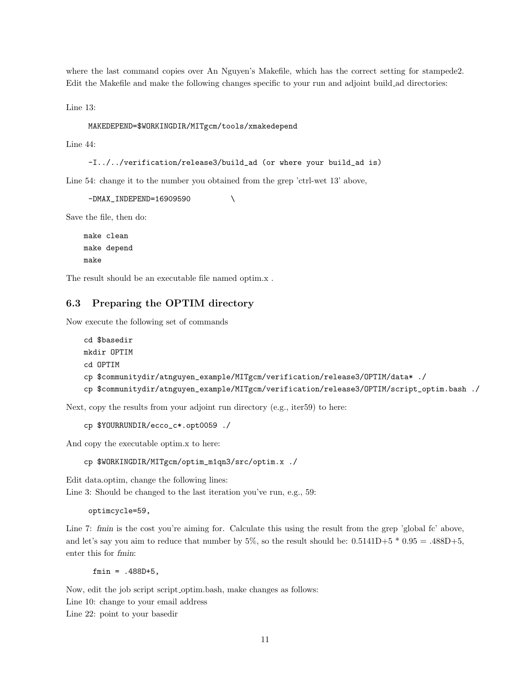where the last command copies over An Nguyen's Makefile, which has the correct setting for stampede2. Edit the Makefile and make the following changes specific to your run and adjoint build ad directories:

Line 13:

```
MAKEDEPEND=$WORKINGDIR/MITgcm/tools/xmakedepend
```
Line 44:

```
-I../../verification/release3/build_ad (or where your build_ad is)
```
Line 54: change it to the number you obtained from the grep 'ctrl-wet 13' above,

-DMAX\_INDEPEND=16909590

Save the file, then do:

make clean make depend make

The result should be an executable file named optim.x .

## 6.3 Preparing the OPTIM directory

Now execute the following set of commands

```
cd $basedir
mkdir OPTIM
cd OPTIM
cp $communitydir/atnguyen_example/MITgcm/verification/release3/OPTIM/data* ./
cp $communitydir/atnguyen_example/MITgcm/verification/release3/OPTIM/script_optim.bash ./
```
Next, copy the results from your adjoint run directory (e.g., iter59) to here:

cp \$YOURRUNDIR/ecco\_c\*.opt0059 ./

And copy the executable optim.x to here:

cp \$WORKINGDIR/MITgcm/optim\_m1qn3/src/optim.x ./

Edit data.optim, change the following lines:

Line 3: Should be changed to the last iteration you've run, e.g., 59:

optimcycle=59,

Line 7: fmin is the cost you're aiming for. Calculate this using the result from the grep 'global fc' above, and let's say you aim to reduce that number by  $5\%$ , so the result should be:  $0.5141D+5 * 0.95 = .488D+5$ , enter this for fmin:

fmin = .488D+5,

Now, edit the job script script optim.bash, make changes as follows:

Line 10: change to your email address

Line 22: point to your basedir